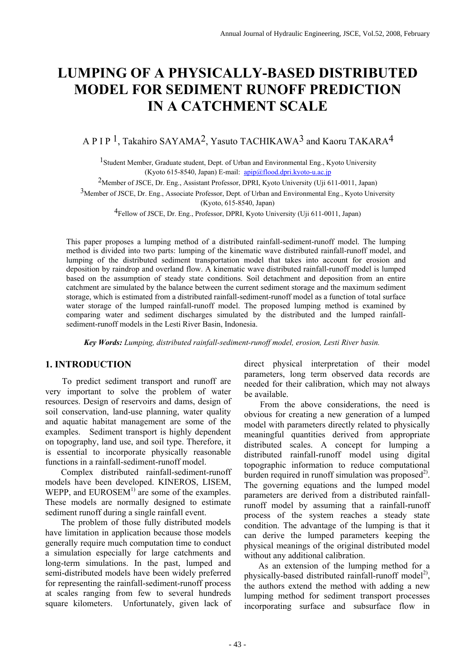# **LUMPING OF A PHYSICALLY-BASED DISTRIBUTED MODEL FOR SEDIMENT RUNOFF PREDICTION IN A CATCHMENT SCALE**

# A P I P 1, Takahiro SAYAMA2, Yasuto TACHIKAWA3 and Kaoru TAKARA4

<sup>1</sup> Student Member, Graduate student, Dept. of Urban and Environmental Eng., Kyoto University (Kyoto 615-8540, Japan) E-mail:  $api@flood.dpri.kyoto-u.ac.jp$ 

2Member of JSCE, Dr. Eng., Assistant Professor, DPRI, Kyoto University (Uji 611-0011, Japan)

3Member of JSCE, Dr. Eng., Associate Professor, Dept. of Urban and Environmental Eng., Kyoto University

(Kyoto, 615-8540, Japan)

4Fellow of JSCE, Dr. Eng., Professor, DPRI, Kyoto University (Uji 611-0011, Japan)

This paper proposes a lumping method of a distributed rainfall-sediment-runoff model. The lumping method is divided into two parts: lumping of the kinematic wave distributed rainfall-runoff model, and lumping of the distributed sediment transportation model that takes into account for erosion and deposition by raindrop and overland flow. A kinematic wave distributed rainfall-runoff model is lumped based on the assumption of steady state conditions. Soil detachment and deposition from an entire catchment are simulated by the balance between the current sediment storage and the maximum sediment storage, which is estimated from a distributed rainfall-sediment-runoff model as a function of total surface water storage of the lumped rainfall-runoff model. The proposed lumping method is examined by comparing water and sediment discharges simulated by the distributed and the lumped rainfallsediment-runoff models in the Lesti River Basin, Indonesia.

 *Key Words: Lumping, distributed rainfall-sediment-runoff model, erosion, Lesti River basin.* 

# **1. INTRODUCTION**

To predict sediment transport and runoff are very important to solve the problem of water resources. Design of reservoirs and dams, design of soil conservation, land-use planning, water quality and aquatic habitat management are some of the examples. Sediment transport is highly dependent on topography, land use, and soil type. Therefore, it is essential to incorporate physically reasonable functions in a rainfall-sediment-runoff model.

Complex distributed rainfall-sediment-runoff models have been developed. KINEROS, LISEM, WEPP, and  $EUROSEM<sup>1</sup>$  are some of the examples. These models are normally designed to estimate sediment runoff during a single rainfall event.

The problem of those fully distributed models have limitation in application because those models generally require much computation time to conduct a simulation especially for large catchments and long-term simulations. In the past, lumped and semi-distributed models have been widely preferred for representing the rainfall-sediment-runoff process at scales ranging from few to several hundreds square kilometers. Unfortunately, given lack of direct physical interpretation of their model parameters, long term observed data records are needed for their calibration, which may not always be available.

From the above considerations, the need is obvious for creating a new generation of a lumped model with parameters directly related to physically meaningful quantities derived from appropriate distributed scales. A concept for lumping a distributed rainfall-runoff model using digital topographic information to reduce computational burden required in runoff simulation was proposed<sup>2)</sup>. The governing equations and the lumped model parameters are derived from a distributed rainfallrunoff model by assuming that a rainfall-runoff process of the system reaches a steady state condition. The advantage of the lumping is that it can derive the lumped parameters keeping the physical meanings of the original distributed model without any additional calibration.

As an extension of the lumping method for a physically-based distributed rainfall-runoff model<sup>2)</sup>, the authors extend the method with adding a new lumping method for sediment transport processes incorporating surface and subsurface flow in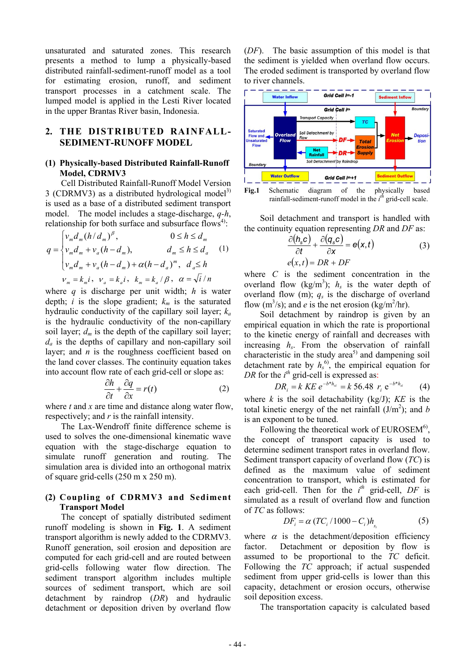unsaturated and saturated zones. This research presents a method to lump a physically-based distributed rainfall-sediment-runoff model as a tool for estimating erosion, runoff, and sediment transport processes in a catchment scale. The lumped model is applied in the Lesti River located in the upper Brantas River basin, Indonesia.

# **2. THE DISTRIBUTED RAINFALL-SEDIMENT-RUNOFF MODEL**

#### **(1) Physically-based Distributed Rainfall-Runoff Model, CDRMV3**

Cell Distributed Rainfall-Runoff Model Version 3 (CDRMV3) as a distributed hydrological model<sup>3)</sup> is used as a base of a distributed sediment transport model. The model includes a stage-discharge, *q-h*, relationship for both surface and subsurface flows<sup>4)</sup>:

$$
q = \begin{cases} v_m d_m (h/d_m)^{\beta}, & 0 \le h \le d_m \\ v_m d_m + v_a (h - d_m), & d_m \le h \le d_a \\ v_m d_m + v_a (h - d_m) + \alpha (h - d_a)^m, & d_a \le h \end{cases}
$$
 (1)  

$$
v_m = k_m i, \quad v_a = k_a i, \quad k_m = k_a / \beta, \quad \alpha = \sqrt{i} / n
$$

where *q* is discharge per unit width; *h* is water depth;  $i$  is the slope gradient;  $k_m$  is the saturated hydraulic conductivity of the capillary soil layer; *ka* is the hydraulic conductivity of the non-capillary soil layer;  $d_m$  is the depth of the capillary soil layer;  $d_a$  is the depths of capillary and non-capillary soil layer; and *n* is the roughness coefficient based on the land cover classes. The continuity equation takes into account flow rate of each grid-cell or slope as:

$$
\frac{\partial h}{\partial t} + \frac{\partial q}{\partial x} = r(t) \tag{2}
$$

where *t* and *x* are time and distance along water flow, respectively; and *r* is the rainfall intensity.

The Lax-Wendroff finite difference scheme is used to solves the one-dimensional kinematic wave equation with the stage-discharge equation to simulate runoff generation and routing. The simulation area is divided into an orthogonal matrix of square grid-cells (250 m x 250 m).

### **(2) Coupling of CDRMV3 and Sediment Transport Model**

The concept of spatially distributed sediment runoff modeling is shown in **Fig. 1**. A sediment transport algorithm is newly added to the CDRMV3. Runoff generation, soil erosion and deposition are computed for each grid-cell and are routed between grid-cells following water flow direction. The sediment transport algorithm includes multiple sources of sediment transport, which are soil detachment by raindrop (*DR*) and hydraulic detachment or deposition driven by overland flow

(*DF*). The basic assumption of this model is that the sediment is yielded when overland flow occurs. The eroded sediment is transported by overland flow to river channels.



**Fig.1** Schematic diagram of the physically based rainfall-sediment-runoff model in the  $i^{th}$  grid-cell scale.

Soil detachment and transport is handled with the continuity equation representing *DR* and *DF* as:

$$
\frac{\partial (h_s c)}{\partial t} + \frac{\partial (q_s c)}{\partial x} = e(x, t)
$$
\n
$$
e(x, t) = DR + DF
$$
\n(3)

where *C* is the sediment concentration in the overland flow  $(kg/m^3)$ ;  $h_s$  is the water depth of overland flow (m);  $q_s$  is the discharge of overland flow  $(m^3/s)$ ; and *e* is the net erosion (kg/m<sup>2</sup>/hr).

Soil detachment by raindrop is given by an empirical equation in which the rate is proportional to the kinetic energy of rainfall and decreases with increasing  $h_s$ . From the observation of rainfall characteristic in the study area<sup>5)</sup> and dampening soil detachment rate by  $h_s^{\,6)}$ , the empirical equation for *DR* for the *i*<sup>th</sup> grid-cell is expressed as:

$$
DR_i = k KE e^{-b*h_{si}} = k 56.48 r_i e^{-b*h_{si}}
$$
 (4)

where  $k$  is the soil detachability (kg/J);  $KE$  is the total kinetic energy of the net rainfall  $(J/m^2)$ ; and *b* is an exponent to be tuned.

Following the theoretical work of  $EUROSEM<sup>6</sup>$ , the concept of transport capacity is used to determine sediment transport rates in overland flow. Sediment transport capacity of overland flow (*TC*) is defined as the maximum value of sediment concentration to transport, which is estimated for each grid-cell. Then for the  $i^{th}$  grid-cell, *DF* is simulated as a result of overland flow and function of *TC* as follows:

$$
DF_i = \alpha \left( TC_i / 1000 - C_i \right) h_{s_i} \tag{5}
$$

where  $\alpha$  is the detachment/deposition efficiency factor. Detachment or deposition by flow is assumed to be proportional to the *TC* deficit. Following the *TC* approach; if actual suspended sediment from upper grid-cells is lower than this capacity, detachment or erosion occurs, otherwise soil deposition excess.

The transportation capacity is calculated based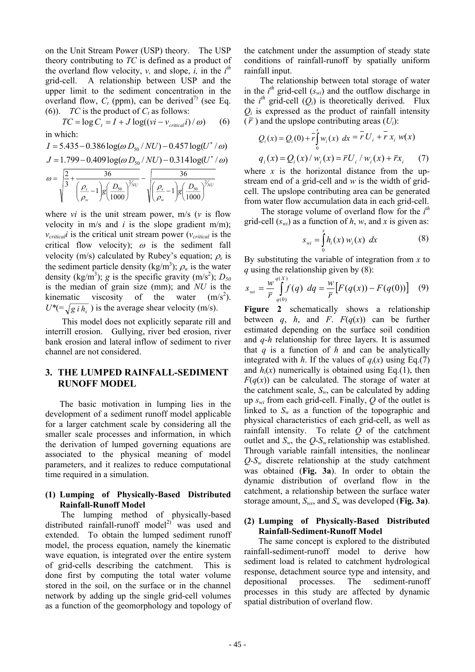on the Unit Stream Power (USP) theory. The USP theory contributing to *TC* is defined as a product of the overland flow velocity, *v*, and slope,  $\hat{i}$ , in the  $i^{th}$ grid-cell. A relationship between USP and the upper limit to the sediment concentration in the overland flow,  $C_t$  (ppm), can be derived<sup>7)</sup> (see Eq. (6)). *TC* is the product of  $C_t$  as follows:

$$
TC = \log C_t = I + J \log((vi - v_{critical}i) / \omega)
$$
 (6)

in which:  $I = 5.435 - 0.386 \log(\omega D_{50} / NU) - 0.457 \log(U^* / \omega)$  $J = 1.799 - 0.409 \log(\omega D_{50} / NU) - 0.314 \log(U^* / \omega)$ *NU w*  $\begin{array}{c} NU \end{array}$   $\parallel$   $\rho_s$ *w*  $\int_{s}^{1} e^{-x} dx = 1$   $g\left(\frac{D_{50}}{1000}\right)^{7}$   $g\left(\frac{D_{s}}{D_{s}}-1\right)$   $g\left(\frac{D_{s}}{D_{s}}-1\right)$ 2 50 2  $\left| \frac{\partial}{\partial 0} \right| \qquad \sqrt{\frac{P_s}{\rho_w}} - 1 \frac{\left| g \right|}{1000}$ 36  $\frac{1}{g} \left( \frac{D_{50}}{1000} \right)$ 36 3 2  $g\left(\frac{D_{\rm so}}{1000}\right)$ ⎠ ⎞  $\parallel$ ⎝  $\left(\frac{\rho_{s}}{2}\right)$  – −  $g\left(\frac{D_{\rm so}}{1000}\right)$ ⎠ ⎞  $\parallel$ ⎝  $\left( \frac{\rho_s}{\rho} \right)$  $= |-\pm$ ρ ρ ρ ρ ω

where *vi* is the unit stream power, m/s (*v* is flow velocity in  $m/s$  and *i* is the slope gradient  $m/m$ );  $v_{critical}$ *i* is the critical unit stream power ( $v_{critical}$  is the critical flow velocity);  $\omega$  is the sediment fall velocity (m/s) calculated by Rubey's equation;  $\rho_s$  is the sediment particle density (kg/m<sup>3</sup>);  $\rho_w$  is the water density (kg/m<sup>3</sup>); *g* is the specific gravity (m/s<sup>2</sup>);  $D_{50}$ is the median of grain size (mm); and *NU* is the kinematic viscosity of the water  $(m/s<sup>2</sup>)$ .  $U^* = \sqrt{g_i h_s}$ ) is the average shear velocity (m/s).

 This model does not explicitly separate rill and interrill erosion. Gullying, river bed erosion, river bank erosion and lateral inflow of sediment to river channel are not considered.

# **3. THE LUMPED RAINFALL-SEDIMENT RUNOFF MODEL**

The basic motivation in lumping lies in the development of a sediment runoff model applicable for a larger catchment scale by considering all the smaller scale processes and information, in which the derivation of lumped governing equations are associated to the physical meaning of model parameters, and it realizes to reduce computational time required in a simulation.

### **(1) Lumping of Physically-Based Distributed Rainfall-Runoff Model**

The lumping method of physically-based distributed rainfall-runoff model<sup>2)</sup> was used and extended. To obtain the lumped sediment runoff model, the process equation, namely the kinematic wave equation, is integrated over the entire system of grid-cells describing the catchment. This is done first by computing the total water volume stored in the soil, on the surface or in the channel network by adding up the single grid-cell volumes as a function of the geomorphology and topology of

the catchment under the assumption of steady state conditions of rainfall-runoff by spatially uniform rainfall input.

The relationship between total storage of water in the  $i^{th}$  grid-cell  $(s_{wi})$  and the outflow discharge in the  $i^{\text{th}}$  grid-cell  $(Q_i)$  is theoretically derived. Flux *Qi* is expressed as the product of rainfall intensity  $(\bar{r})$  and the upslope contributing areas  $(U_i)$ :

$$
Q_i(x) = Q_i(0) + \overline{r} \int_0^x w_i(x) \, dx = \overline{r} U_i + \overline{r} x_i \, w(x)
$$
  

$$
q_i(x) = Q_i(x) / w_i(x) = \overline{r} U_i / w_i(x) + \overline{r} x_i \qquad (7)
$$

where  $x$  is the horizontal distance from the upstream end of a grid-cell and *w* is the width of gridcell. The upslope contributing area can be generated from water flow accumulation data in each grid-cell.

The storage volume of overland flow for the *i th* grid-cell  $(s_w)$  as a function of h, w, and x is given as:

$$
s_{wi} = \int_{0}^{x} h_i(x) w_i(x) dx
$$
 (8)

By substituting the variable of integration from *x* to *q* using the relationship given by (8):

$$
s_{wi} = \frac{w}{\bar{r}} \int_{q(0)}^{q(X)} f(q) \ dq = \frac{w}{\bar{r}} \big[ F(q(x)) - F(q(0)) \big] \tag{9}
$$

**Figure 2** schematically shows a relationship between *q*, *h*, and *F*.  $F(q(x))$  can be further estimated depending on the surface soil condition and *q-h* relationship for three layers. It is assumed that *q* is a function of *h* and can be analytically integrated with *h*. If the values of  $q_i(x)$  using Eq.(7) and  $h_i(x)$  numerically is obtained using Eq.(1), then  $F(q(x))$  can be calculated. The storage of water at the catchment scale,  $S_w$ , can be calculated by adding up *swi* from each grid-cell. Finally, *Q* of the outlet is linked to  $S_w$  as a function of the topographic and physical characteristics of each grid-cell, as well as rainfall intensity. To relate *Q* of the catchment outlet and  $S_w$ , the  $Q-S_w$  relationship was established. Through variable rainfall intensities, the nonlinear  $Q-S_w$  discrete relationship at the study catchment was obtained (**Fig. 3a**). In order to obtain the dynamic distribution of overland flow in the catchment, a relationship between the surface water storage amount, *Sws*, and *Sw* was developed (**Fig. 3a)**.

### **(2) Lumping of Physically-Based Distributed Rainfall-Sediment-Runoff Model**

The same concept is explored to the distributed rainfall-sediment-runoff model to derive how sediment load is related to catchment hydrological response, detachment source type and intensity, and depositional processes. The sediment-runoff processes in this study are affected by dynamic spatial distribution of overland flow.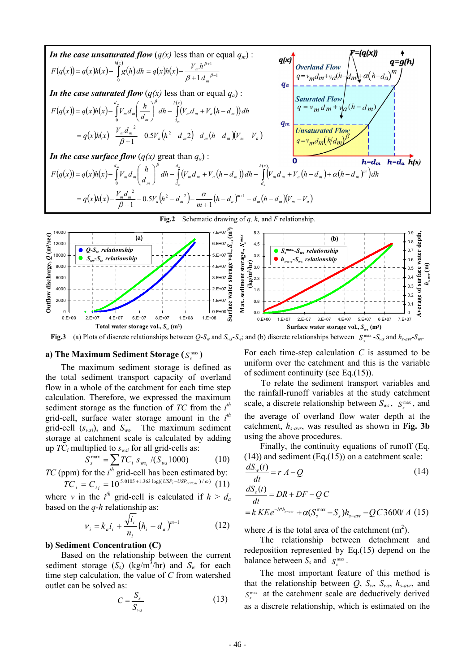



**Fig.3** (a) Plots of discrete relationships between  $Q-S_w$  and  $S_{ws}-S_w$ ; and (b) discrete relationships between  $S_{sw}^{max}-S_{ws}$  and  $h_{s-ary}-S_{ws}$ .

#### a) The Maximum Sediment Storage ( $S<sub>s</sub><sup>max</sup>$ )

The maximum sediment storage is defined as the total sediment transport capacity of overland flow in a whole of the catchment for each time step calculation. Therefore, we expressed the maximum sediment storage as the function of *TC* from the *i th* grid-cell, surface water storage amount in the *i th* grid-cell (*swsi*), and *Sws.* The maximum sediment storage at catchment scale is calculated by adding up  $TC_i$  multiplied to  $s_{wsi}$  for all grid-cells as:

$$
S_s^{\max} = \sum_{k} TC_i \ s_{ws_i} / (S_{ws} 1000) \tag{10}
$$

*TC* (ppm) for the *i*<sup>th</sup> grid-cell has been estimated by: 
$$
TC_i = C_{ti} = 10^{5.0105 + 1.363 \log((USP_i - USP_{critical})/\omega)}
$$
 (11)

where *v* in the  $i^{th}$  grid-cell is calculated if  $h > d_a$ based on the *q*-*h* relationship as:

$$
V_i = k_a i_i + \frac{\sqrt{i_i}}{n_i} (h_i - d_a)^{m-1}
$$
 (12)

#### **b) Sediment Concentration (C)**

Based on the relationship between the current sediment storage  $(S_s)$  (kg/m<sup>3</sup>/hr) and  $S_w$  for each time step calculation, the value of *C* from watershed outlet can be solved as:

$$
C = \frac{S_s}{S_{ws}}\tag{13}
$$

For each time-step calculation *C* is assumed to be uniform over the catchment and this is the variable of sediment continuity (see Eq.(15)).

 To relate the sediment transport variables and the rainfall-runoff variables at the study catchment scale, a discrete relationship between  $S_{ws}$ ,  $S_{s}^{max}$ , and the average of overland flow water depth at the catchment, *hs-avr*, was resulted as shown in **Fig. 3b** using the above procedures.

Finally, the continuity equations of runoff (Eq.  $(14)$ ) and sediment (Eq. $(15)$ ) on a catchment scale:

$$
\frac{dS_w(t)}{dt} = r A - Q
$$
(14)  

$$
\frac{dS_s(t)}{dt} = DR + DF - QC
$$
  

$$
= k KE e^{-b*h_{s-avr}} + \alpha (S_s^{\max} - S_s) h_{s-avr} - QC3600/A
$$
(15)

where *A* is the total area of the catchment  $(m^2)$ .

The relationship between detachment and redeposition represented by Eq.(15) depend on the balance between  $S_s$  and  $S_s^{\max}$ .

The most important feature of this method is that the relationship between  $Q$ ,  $S_w$ ,  $S_{ws}$ ,  $h_{s-avr}$ , and  $S<sub>s</sub><sup>max</sup>$  at the catchment scale are deductively derived as a discrete relationship, which is estimated on the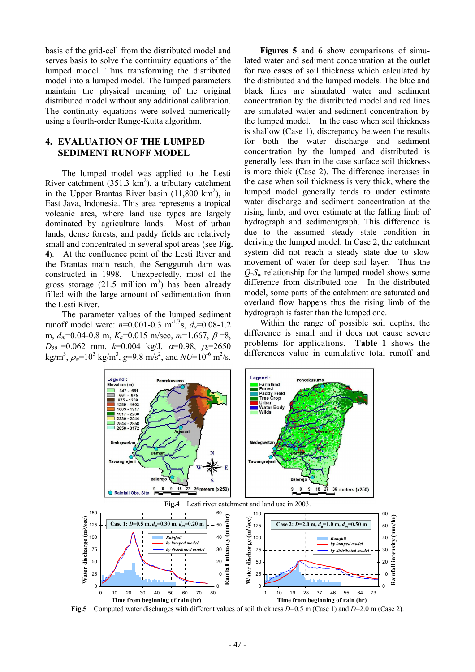basis of the grid-cell from the distributed model and serves basis to solve the continuity equations of the lumped model. Thus transforming the distributed model into a lumped model. The lumped parameters maintain the physical meaning of the original distributed model without any additional calibration. The continuity equations were solved numerically using a fourth-order Runge-Kutta algorithm.

# **4. EVALUATION OF THE LUMPED SEDIMENT RUNOFF MODEL**

The lumped model was applied to the Lesti River catchment  $(351.3 \text{ km}^2)$ , a tributary catchment in the Upper Brantas River basin  $(11,800 \text{ km}^2)$ , in East Java, Indonesia. This area represents a tropical volcanic area, where land use types are largely dominated by agriculture lands. Most of urban lands, dense forests, and paddy fields are relatively small and concentrated in several spot areas (see **Fig. 4)**. At the confluence point of the Lesti River and the Brantas main reach, the Sengguruh dam was constructed in 1998. Unexpectedly, most of the gross storage  $(21.5 \text{ million m}^3)$  has been already filled with the large amount of sedimentation from the Lesti River.

The parameter values of the lumped sediment runoff model were:  $n=0.001-0.3$  m<sup>-1/3</sup>s,  $d_a=0.08-1.2$ m, *dm*=0.04-0.8 m, *Ka*=0.015 m/sec, *m*=1.667, β =8,  $D_{50} = 0.062$  mm,  $k=0.004$  kg/J,  $\alpha=0.98$ ,  $\rho_s = 2650$  $\text{kg/m}^3$ ,  $\rho_w$ =10<sup>3</sup> kg/m<sup>3</sup>, g=9.8 m/s<sup>2</sup>, and *NU*=10<sup>-6</sup> m<sup>2</sup>/s.

**Figures 5** and **6** show comparisons of simulated water and sediment concentration at the outlet for two cases of soil thickness which calculated by the distributed and the lumped models. The blue and black lines are simulated water and sediment concentration by the distributed model and red lines are simulated water and sediment concentration by the lumped model. In the case when soil thickness is shallow (Case 1), discrepancy between the results for both the water discharge and sediment concentration by the lumped and distributed is generally less than in the case surface soil thickness is more thick (Case 2). The difference increases in the case when soil thickness is very thick, where the lumped model generally tends to under estimate water discharge and sediment concentration at the rising limb, and over estimate at the falling limb of hydrograph and sedimentgraph. This difference is due to the assumed steady state condition in deriving the lumped model. In Case 2, the catchment system did not reach a steady state due to slow movement of water for deep soil layer. Thus the  $Q-S_w$  relationship for the lumped model shows some difference from distributed one. In the distributed model, some parts of the catchment are saturated and overland flow happens thus the rising limb of the hydrograph is faster than the lumped one.

Within the range of possible soil depths, the difference is small and it does not cause severe problems for applications. **Table 1** shows the differences value in cumulative total runoff and